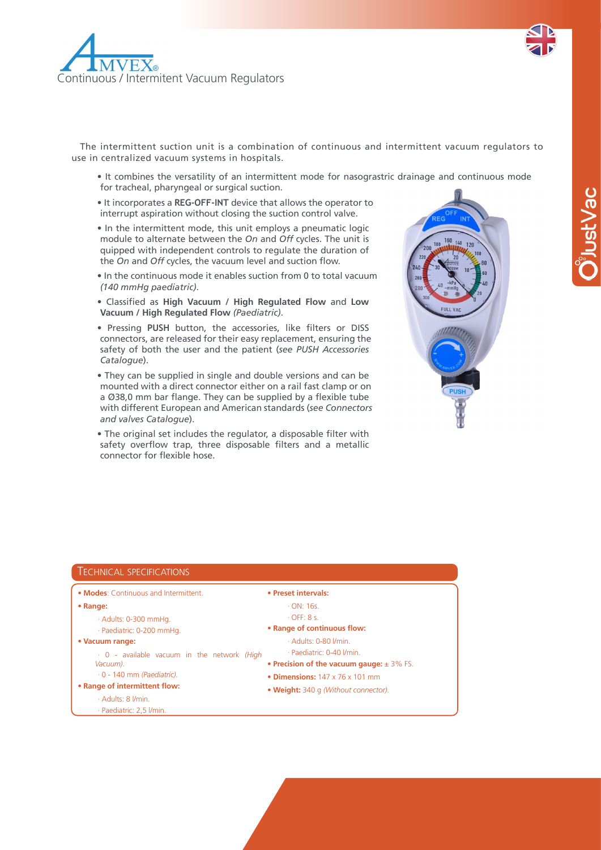

The intermittent suction unit is a combination of continuous and intermittent vacuum regulators to use in centralized vacuum systems in hospitals.

- It combines the versatility of an intermittent mode for nasograstric drainage and continuous mode for tracheal, pharyngeal or surgical suction.
- It incorporates a **REG‐OFF‐INT** device that allows the operator to interrupt aspiration without closing the suction control valve.
- In the intermittent mode, this unit employs a pneumatic logic module to alternate between the *On* and *Off* cycles. The unit is quipped with independent controls to regulate the duration of the *On* and *Off* cycles, the vacuum level and suction flow.
- In the continuous mode it enables suction from 0 to total vacuum *(140 mmHg paediatric)*.
- Classified as High Vacuum / High Regulated Flow and Low **Vacuum / High Regulated Flow** *(Paediatric)*.
- Pressing PUSH button, the accessories, like filters or DISS connectors, are released for their easy replacement, ensuring the safety of both the user and the patient (*see PUSH Accessories Catalogue*).
- They can be supplied in single and double versions and can be mounted with a direct connector either on a rail fast clamp or on a Ø38,0 mm bar flange. They can be supplied by a flexible tube with different European and American standards (*see Connectors and valves Catalogue*).
- The original set includes the regulator, a disposable filter with safety overflow trap, three disposable filters and a metallic connector for flexible hose.



## • **Modes**: Continuous and Intermittent. • **Range:** TECHNICAL SPECIFICATIONS

- - · Adults: 0-300 mmHg.
	- · Paediatric: 0-200 mmHg.
- **Vacuum range:**
	- · 0 available vacuum in the network *(High Vacuum)*.
- · 0 140 mm *(Paediatric).* • **Range of intermittent .ow:**
- 
- · Adults: 8 l/min.
	- · Paediatric: 2,5 l/min.

## • **Preset intervals:**

- $\cdot$  ON $\cdot$  16s.
- $\cdot$  OFF $\cdot$  8 s.
- **Range of continuous .ow:**
	- · Adults: 0-80 l/min.
	- · Paediatric: 0-40 l/min.
- **Precision of the vacuum gauge:** ± 3% FS.
- **Dimensions:** 147 x 76 x 101 mm
- **Weight:** 340 g *(Without connector)*.
-